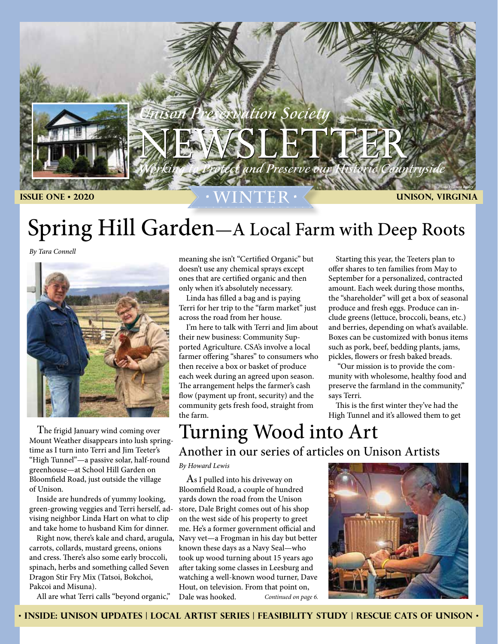

## Spring Hill Garden—A Local Farm with Deep Roots

*By Tara Connell*



 The frigid January wind coming over Mount Weather disappears into lush springtime as I turn into Terri and Jim Teeter's "High Tunnel"—a passive solar, half-round greenhouse—at School Hill Garden on Bloomfield Road, just outside the village of Unison.

 Inside are hundreds of yummy looking, green-growing veggies and Terri herself, advising neighbor Linda Hart on what to clip and take home to husband Kim for dinner.

 Right now, there's kale and chard, arugula, carrots, collards, mustard greens, onions and cress. There's also some early broccoli, spinach, herbs and something called Seven Dragon Stir Fry Mix (Tatsoi, Bokchoi, Pakcoi and Misuna).

All are what Terri calls "beyond organic,"

meaning she isn't "Certified Organic" but doesn't use any chemical sprays except ones that are certified organic and then only when it's absolutely necessary.

 Linda has filled a bag and is paying Terri for her trip to the "farm market" just across the road from her house.

 I'm here to talk with Terri and Jim about their new business: Community Supported Agriculture. CSA's involve a local farmer offering "shares" to consumers who then receive a box or basket of produce each week during an agreed upon season. The arrangement helps the farmer's cash flow (payment up front, security) and the community gets fresh food, straight from the farm.

 Starting this year, the Teeters plan to offer shares to ten families from May to September for a personalized, contracted amount. Each week during those months, the "shareholder" will get a box of seasonal produce and fresh eggs. Produce can include greens (lettuce, broccoli, beans, etc.) and berries, depending on what's available. Boxes can be customized with bonus items such as pork, beef, bedding plants, jams, pickles, flowers or fresh baked breads.

 "Our mission is to provide the community with wholesome, healthy food and preserve the farmland in the community," says Terri.

 This is the first winter they've had the High Tunnel and it's allowed them to get

### Turning Wood into Art Another in our series of articles on Unison Artists

*By Howard Lewis*

 As I pulled into his driveway on Bloomfield Road, a couple of hundred yards down the road from the Unison store, Dale Bright comes out of his shop on the west side of his property to greet me. He's a former government official and Navy vet—a Frogman in his day but better known these days as a Navy Seal—who took up wood turning about 15 years ago after taking some classes in Leesburg and watching a well-known wood turner, Dave Hout, on television. From that point on, Dale was hooked. *Continued on page 6.*



• **INSIDE: Unison Updates | Local Artist Series | Feasibility study | rescue cats of unison** •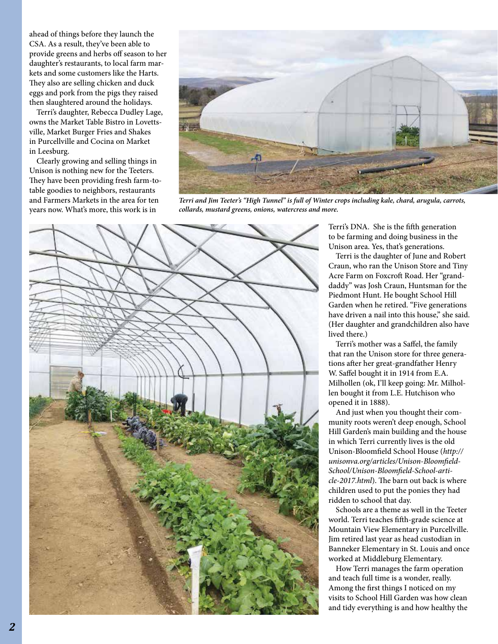ahead of things before they launch the CSA. As a result, they've been able to provide greens and herbs off season to her daughter's restaurants, to local farm markets and some customers like the Harts. They also are selling chicken and duck eggs and pork from the pigs they raised then slaughtered around the holidays.

 Terri's daughter, Rebecca Dudley Lage, owns the Market Table Bistro in Lovettsville, Market Burger Fries and Shakes in Purcellville and Cocina on Market in Leesburg.

 Clearly growing and selling things in Unison is nothing new for the Teeters. They have been providing fresh farm-totable goodies to neighbors, restaurants and Farmers Markets in the area for ten years now. What's more, this work is in



*Terri and Jim Teeter's "High Tunnel" is full of Winter crops including kale, chard, arugula, carrots, collards, mustard greens, onions, watercress and more.*



Terri's DNA. She is the fifth generation to be farming and doing business in the Unison area. Yes, that's generations.

 Terri is the daughter of June and Robert Craun, who ran the Unison Store and Tiny Acre Farm on Foxcroft Road. Her "granddaddy" was Josh Craun, Huntsman for the Piedmont Hunt. He bought School Hill Garden when he retired. "Five generations have driven a nail into this house," she said. (Her daughter and grandchildren also have lived there.)

 Terri's mother was a Saffel, the family that ran the Unison store for three generations after her great-grandfather Henry W. Saffel bought it in 1914 from E.A. Milhollen (ok, I'll keep going: Mr. Milhollen bought it from L.E. Hutchison who opened it in 1888).

 And just when you thought their community roots weren't deep enough, School Hill Garden's main building and the house in which Terri currently lives is the old Unison-Bloomfield School House (*http:// unisonva.org/articles/Unison-Bloomfield-School/Unison-Bloomfield-School-article-2017.html*). The barn out back is where children used to put the ponies they had ridden to school that day.

 Schools are a theme as well in the Teeter world. Terri teaches fifth-grade science at Mountain View Elementary in Purcellville. Jim retired last year as head custodian in Banneker Elementary in St. Louis and once worked at Middleburg Elementary.

 How Terri manages the farm operation and teach full time is a wonder, really. Among the first things I noticed on my visits to School Hill Garden was how clean and tidy everything is and how healthy the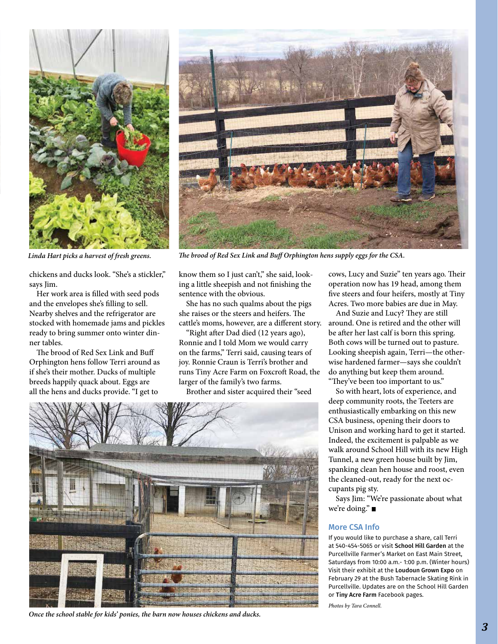

chickens and ducks look. "She's a stickler," says Iim.

 Her work area is filled with seed pods and the envelopes she's filling to sell. Nearby shelves and the refrigerator are stocked with homemade jams and pickles ready to bring summer onto winter dinner tables.

 The brood of Red Sex Link and Buff Orphington hens follow Terri around as if she's their mother. Ducks of multiple breeds happily quack about. Eggs are all the hens and ducks provide. "I get to



*Linda Hart picks a harvest of fresh greens. The brood of Red Sex Link and Buff Orphington hens supply eggs for the CSA.*

know them so I just can't," she said, looking a little sheepish and not finishing the sentence with the obvious.

 She has no such qualms about the pigs she raises or the steers and heifers. The

 "Right after Dad died (12 years ago), Ronnie and I told Mom we would carry on the farms," Terri said, causing tears of joy. Ronnie Craun is Terri's brother and runs Tiny Acre Farm on Foxcroft Road, the larger of the family's two farms.

Brother and sister acquired their "seed



*Once the school stable for kids' ponies, the barn now houses chickens and ducks.*

cows, Lucy and Suzie" ten years ago. Their operation now has 19 head, among them five steers and four heifers, mostly at Tiny Acres. Two more babies are due in May.

cattle's moms, however, are a different story. around. One is retired and the other will And Suzie and Lucy? They are still be after her last calf is born this spring. Both cows will be turned out to pasture. Looking sheepish again, Terri—the otherwise hardened farmer—says she couldn't do anything but keep them around. "They've been too important to us."

 So with heart, lots of experience, and deep community roots, the Teeters are enthusiastically embarking on this new CSA business, opening their doors to Unison and working hard to get it started. Indeed, the excitement is palpable as we walk around School Hill with its new High Tunnel, a new green house built by Jim, spanking clean hen house and roost, even the cleaned-out, ready for the next occupants pig sty.

 Says Jim: "We're passionate about what we're doing."

### More CSA Info

If you would like to purchase a share, call Terri at 540-454-5065 or visit School Hill Garden at the Purcellville Farmer's Market on East Main Street, Saturdays from 10:00 a.m.- 1:00 p.m. (Winter hours) Visit their exhibit at the Loudoun Grown Expo on February 29 at the Bush Tabernacle Skating Rink in Purcellville. Updates are on the School Hill Garden or Tiny Acre Farm Facebook pages.

*Photos by Tara Connell.*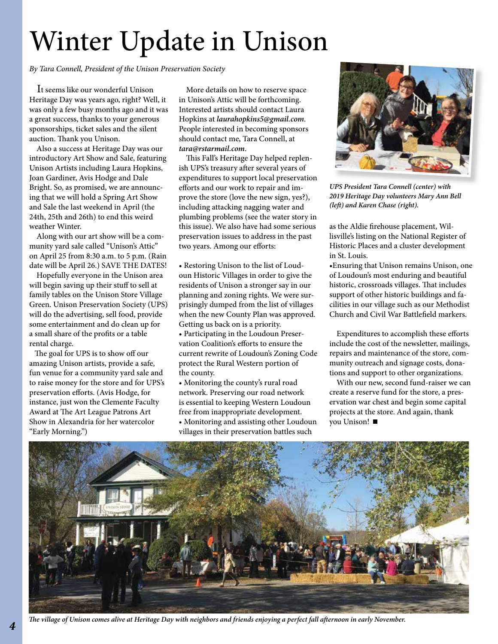# Winter Update in Unison

*By Tara Connell, President of the Unison Preservation Society*

 It seems like our wonderful Unison Heritage Day was years ago, right? Well, it was only a few busy months ago and it was a great success, thanks to your generous sponsorships, ticket sales and the silent auction. Thank you Unison.

 Also a success at Heritage Day was our introductory Art Show and Sale, featuring Unison Artists including Laura Hopkins, Joan Gardiner, Avis Hodge and Dale Bright. So, as promised, we are announcing that we will hold a Spring Art Show and Sale the last weekend in April (the 24th, 25th and 26th) to end this weird weather Winter.

 Along with our art show will be a community yard sale called "Unison's Attic" on April 25 from 8:30 a.m. to 5 p.m. (Rain date will be April 26.) SAVE THE DATES!

 Hopefully everyone in the Unison area will begin saving up their stuff to sell at family tables on the Unison Store Village Green. Unison Preservation Society (UPS) will do the advertising, sell food, provide some entertainment and do clean up for a small share of the profits or a table rental charge.

 The goal for UPS is to show off our amazing Unison artists, provide a safe, fun venue for a community yard sale and to raise money for the store and for UPS's preservation efforts. (Avis Hodge, for instance, just won the Clemente Faculty Award at The Art League Patrons Art Show in Alexandria for her watercolor "Early Morning.")

 More details on how to reserve space in Unison's Attic will be forthcoming. Interested artists should contact Laura Hopkins at *laurahopkins5@gmail.com*. People interested in becoming sponsors should contact me, Tara Connell, at *tara@rstarmail.com*.

 This Fall's Heritage Day helped replenish UPS's treasury after several years of expenditures to support local preservation efforts and our work to repair and improve the store (love the new sign, yes?), including attacking nagging water and plumbing problems (see the water story in this issue). We also have had some serious preservation issues to address in the past two years. Among our efforts:

- Restoring Unison to the list of Loudoun Historic Villages in order to give the residents of Unison a stronger say in our planning and zoning rights. We were surprisingly dumped from the list of villages when the new County Plan was approved. Getting us back on is a priority. • Participating in the Loudoun Preservation Coalition's efforts to ensure the current rewrite of Loudoun's Zoning Code protect the Rural Western portion of
- the county.
- Monitoring the county's rural road network. Preserving our road network is essential to keeping Western Loudoun free from inappropriate development.
- Monitoring and assisting other Loudoun villages in their preservation battles such



*UPS President Tara Connell (center) with 2019 Heritage Day volunteers Mary Ann Bell (left) and Karen Chase (right).*

as the Aldie firehouse placement, Willisville's listing on the National Register of Historic Places and a cluster development in St. Louis.

•Ensuring that Unison remains Unison, one of Loudoun's most enduring and beautiful historic, crossroads villages. That includes support of other historic buildings and facilities in our village such as our Methodist Church and Civil War Battlefield markers.

 Expenditures to accomplish these efforts include the cost of the newsletter, mailings, repairs and maintenance of the store, community outreach and signage costs, donations and support to other organizations.

 With our new, second fund-raiser we can create a reserve fund for the store, a preservation war chest and begin some capital projects at the store. And again, thank you Unison!



*The village of Unison comes alive at Heritage Day with neighbors and friends enjoying a perfect fall afternoon in early November.*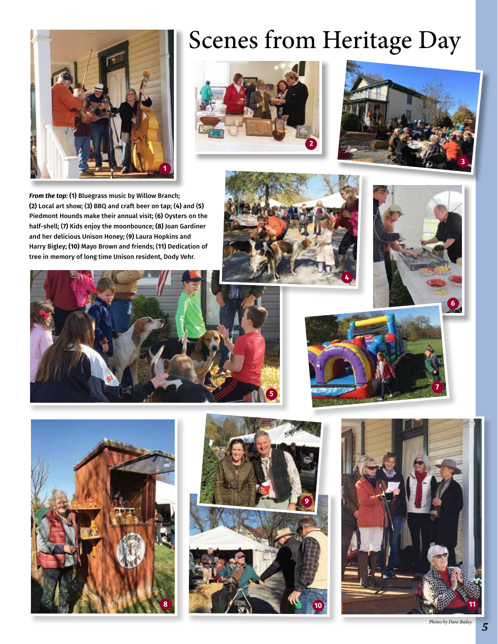

# Scenes from Heritage Day





*From the top:* **(1)** Bluegrass music by Willow Branch; **(2)** Local art show; (**3)** BBQ and craft beer on tap; (**4)** and (**5)** Piedmont Hounds make their annual visit; (**6)** Oysters on the half-shell; (**7)** Kids enjoy the moonbounce; **(8)** Joan Gardiner and her delicious Unison Honey; (**9)** Laura Hopkins and Harry Bigley; **(10)** Mayo Brown and friends; (**11)** Dedication of tree in memory of long time Unison resident, Dody Vehr.















*5*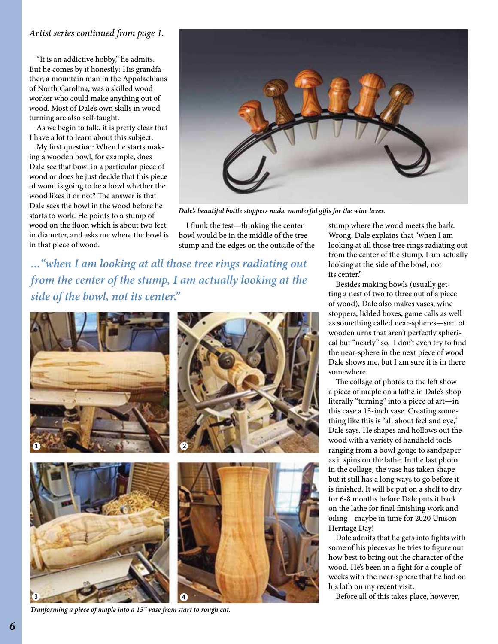### *Artist series continued from page 1.*

 "It is an addictive hobby," he admits. But he comes by it honestly: His grandfather, a mountain man in the Appalachians of North Carolina, was a skilled wood worker who could make anything out of wood. Most of Dale's own skills in wood turning are also self-taught.

 As we begin to talk, it is pretty clear that I have a lot to learn about this subject.

 My first question: When he starts making a wooden bowl, for example, does Dale see that bowl in a particular piece of wood or does he just decide that this piece of wood is going to be a bowl whether the wood likes it or not? The answer is that Dale sees the bowl in the wood before he starts to work. He points to a stump of wood on the floor, which is about two feet in diameter, and asks me where the bowl is in that piece of wood.



*Dale's beautiful bottle stoppers make wonderful gifts for the wine lover.* 

 I flunk the test—thinking the center bowl would be in the middle of the tree stump and the edges on the outside of the

*..."when I am looking at all those tree rings radiating out from the center of the stump, I am actually looking at the side of the bowl, not its center."*



*Tranforming a piece of maple into a 15" vase from start to rough cut.*

stump where the wood meets the bark. Wrong. Dale explains that "when I am looking at all those tree rings radiating out from the center of the stump, I am actually looking at the side of the bowl, not its center."

 Besides making bowls (usually getting a nest of two to three out of a piece of wood), Dale also makes vases, wine stoppers, lidded boxes, game calls as well as something called near-spheres—sort of wooden urns that aren't perfectly spherical but "nearly" so. I don't even try to find the near-sphere in the next piece of wood Dale shows me, but I am sure it is in there somewhere.

 The collage of photos to the left show a piece of maple on a lathe in Dale's shop literally "turning" into a piece of art—in this case a 15-inch vase. Creating something like this is "all about feel and eye," Dale says. He shapes and hollows out the wood with a variety of handheld tools ranging from a bowl gouge to sandpaper as it spins on the lathe. In the last photo in the collage, the vase has taken shape but it still has a long ways to go before it is finished. It will be put on a shelf to dry for 6-8 months before Dale puts it back on the lathe for final finishing work and oiling—maybe in time for 2020 Unison Heritage Day!

 Dale admits that he gets into fights with some of his pieces as he tries to figure out how best to bring out the character of the wood. He's been in a fight for a couple of weeks with the near-sphere that he had on his lath on my recent visit.

Before all of this takes place, however,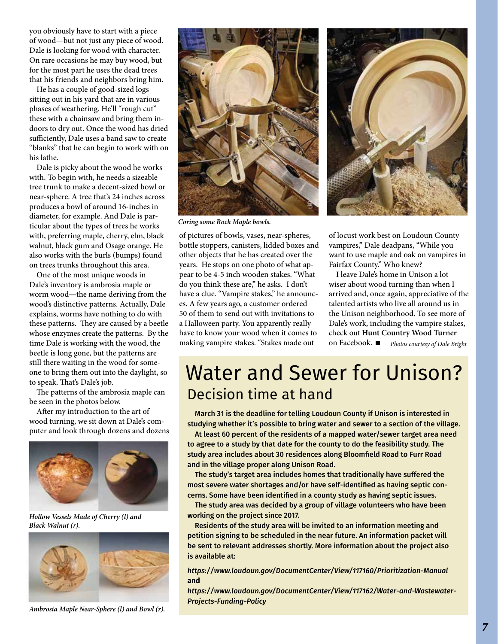you obviously have to start with a piece of wood—but not just any piece of wood. Dale is looking for wood with character. On rare occasions he may buy wood, but for the most part he uses the dead trees that his friends and neighbors bring him.

 He has a couple of good-sized logs sitting out in his yard that are in various phases of weathering. He'll "rough cut" these with a chainsaw and bring them indoors to dry out. Once the wood has dried sufficiently, Dale uses a band saw to create "blanks" that he can begin to work with on his lathe.

 Dale is picky about the wood he works with. To begin with, he needs a sizeable tree trunk to make a decent-sized bowl or near-sphere. A tree that's 24 inches across produces a bowl of around 16-inches in diameter, for example. And Dale is particular about the types of trees he works with, preferring maple, cherry, elm, black walnut, black gum and Osage orange. He also works with the burls (bumps) found on trees trunks throughout this area.

 One of the most unique woods in Dale's inventory is ambrosia maple or worm wood—the name deriving from the wood's distinctive patterns. Actually, Dale explains, worms have nothing to do with these patterns. They are caused by a beetle whose enzymes create the patterns. By the time Dale is working with the wood, the beetle is long gone, but the patterns are still there waiting in the wood for someone to bring them out into the daylight, so to speak. That's Dale's job.

 The patterns of the ambrosia maple can be seen in the photos below.

 After my introduction to the art of wood turning, we sit down at Dale's computer and look through dozens and dozens



*Hollow Vessels Made of Cherry (l) and Black Walnut (r).*



*Ambrosia Maple Near-Sphere (l) and Bowl (r).*



*Coring some Rock Maple bowls.*

of pictures of bowls, vases, near-spheres, bottle stoppers, canisters, lidded boxes and other objects that he has created over the years. He stops on one photo of what appear to be 4-5 inch wooden stakes. "What do you think these are," he asks. I don't have a clue. "Vampire stakes," he announces. A few years ago, a customer ordered 50 of them to send out with invitations to a Halloween party. You apparently really have to know your wood when it comes to making vampire stakes. "Stakes made out



of locust work best on Loudoun County vampires," Dale deadpans, "While you want to use maple and oak on vampires in Fairfax County." Who knew?

 I leave Dale's home in Unison a lot wiser about wood turning than when I arrived and, once again, appreciative of the talented artists who live all around us in the Unison neighborhood. To see more of Dale's work, including the vampire stakes, check out **Hunt Country Wood Turner** on Facebook. *Photos courtesy of Dale Bright*

### Water and Sewer for Unison? Decision time at hand

 March 31 is the deadline for telling Loudoun County if Unison is interested in studying whether it's possible to bring water and sewer to a section of the village.

 At least 60 percent of the residents of a mapped water/sewer target area need to agree to a study by that date for the county to do the feasibility study. The study area includes about 30 residences along Bloomfield Road to Furr Road and in the village proper along Unison Road.

 The study's target area includes homes that traditionally have suffered the most severe water shortages and/or have self-identified as having septic concerns. Some have been identified in a county study as having septic issues.

 The study area was decided by a group of village volunteers who have been working on the project since 2017.

 Residents of the study area will be invited to an information meeting and petition signing to be scheduled in the near future. An information packet will be sent to relevant addresses shortly. More information about the project also is available at:

*https://www.loudoun.gov/DocumentCenter/View/117160/Prioritization-Manual*  **and**

*https://www.loudoun.gov/DocumentCenter/View/117162/Water-and-Wastewater-Projects-Funding-Policy*